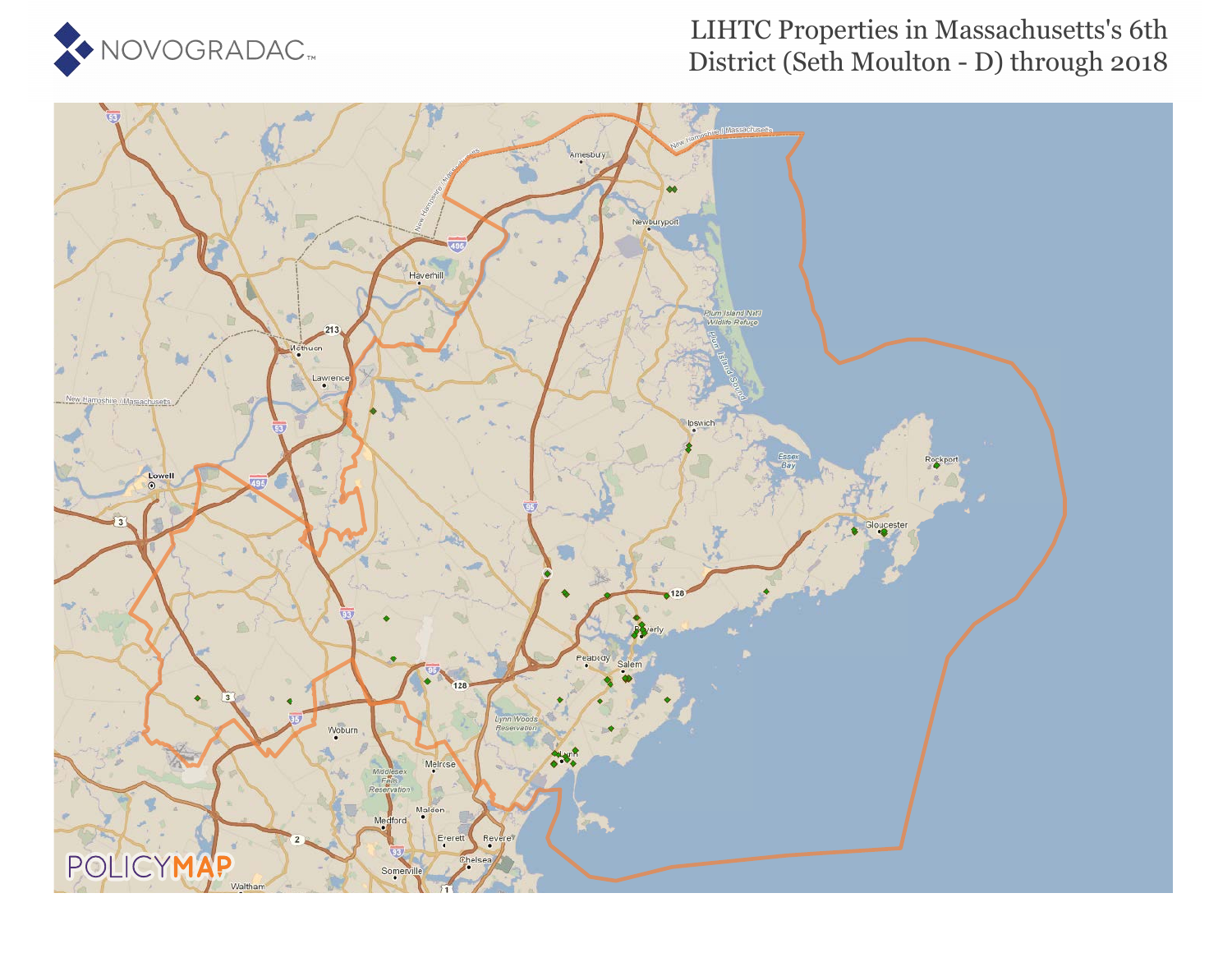

### LIHTC Properties in Massachusetts's 6th District (Seth Moulton - D) through 2018

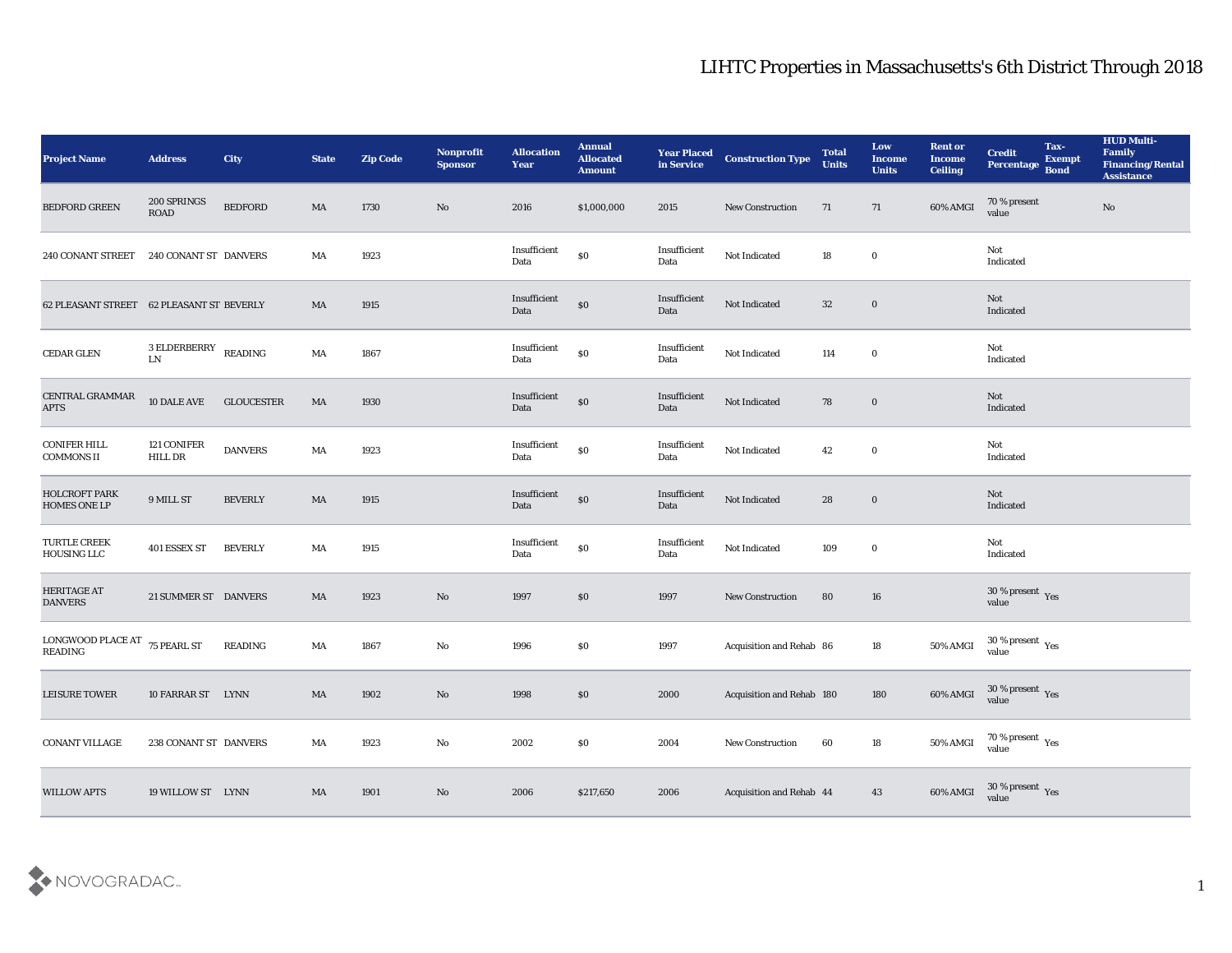| <b>Project Name</b>                                                  | <b>Address</b>             | <b>City</b>       | <b>State</b> | <b>Zip Code</b> | Nonprofit<br><b>Sponsor</b> | <b>Allocation</b><br><b>Year</b>             | <b>Annual</b><br><b>Allocated</b><br><b>Amount</b> | <b>Year Placed</b><br>in Service | <b>Construction Type</b>  | <b>Total</b><br><b>Units</b> | Low<br><b>Income</b><br><b>Units</b> | <b>Rent or</b><br><b>Income</b><br><b>Ceiling</b> | <b>Credit</b><br>Percentage Bond         | Tax-<br><b>Exempt</b> | <b>HUD Multi-</b><br>Family<br><b>Financing/Rental</b><br><b>Assistance</b> |
|----------------------------------------------------------------------|----------------------------|-------------------|--------------|-----------------|-----------------------------|----------------------------------------------|----------------------------------------------------|----------------------------------|---------------------------|------------------------------|--------------------------------------|---------------------------------------------------|------------------------------------------|-----------------------|-----------------------------------------------------------------------------|
| <b>BEDFORD GREEN</b>                                                 | 200 SPRINGS<br>$\rm{ROAD}$ | <b>BEDFORD</b>    | MA           | 1730            | No                          | 2016                                         | \$1,000,000                                        | 2015                             | <b>New Construction</b>   | 71                           | 71                                   | 60% AMGI                                          | 70 % present<br>value                    |                       | No                                                                          |
| <b>240 CONANT STREET</b>                                             | 240 CONANT ST DANVERS      |                   | MA           | 1923            |                             | Insufficient<br>Data                         | $\$0$                                              | Insufficient<br>Data             | Not Indicated             | 18                           | $\bf{0}$                             |                                                   | Not<br>Indicated                         |                       |                                                                             |
| 62 PLEASANT STREET 62 PLEASANT ST BEVERLY                            |                            |                   | MA           | 1915            |                             | Insufficient<br>Data                         | $\$0$                                              | Insufficient<br>Data             | Not Indicated             | 32                           | $\bf{0}$                             |                                                   | Not<br>Indicated                         |                       |                                                                             |
| $\mbox{CEDAR GLEN}$                                                  | 3 ELDERBERRY<br>${\rm LN}$ | <b>READING</b>    | MA           | 1867            |                             | Insufficient<br>Data                         | $\$0$                                              | Insufficient<br>Data             | Not Indicated             | 114                          | $\bf{0}$                             |                                                   | Not<br>Indicated                         |                       |                                                                             |
| <b>CENTRAL GRAMMAR</b><br><b>APTS</b>                                | <b>10 DALE AVE</b>         | <b>GLOUCESTER</b> | MA           | 1930            |                             | Insufficient<br>Data                         | $\$0$                                              | Insufficient<br>Data             | Not Indicated             | 78                           | $\bf{0}$                             |                                                   | Not<br>Indicated                         |                       |                                                                             |
| <b>CONIFER HILL</b><br><b>COMMONS II</b>                             | 121 CONIFER<br>HILL DR     | <b>DANVERS</b>    | MA           | 1923            |                             | Insufficient<br>Data                         | $\$0$                                              | Insufficient<br>Data             | Not Indicated             | 42                           | $\bf{0}$                             |                                                   | Not<br>Indicated                         |                       |                                                                             |
| HOLCROFT PARK<br>HOMES ONE LP                                        | 9 MILL ST                  | <b>BEVERLY</b>    | MA           | 1915            |                             | Insufficient<br>Data                         | \$0                                                | Insufficient<br>Data             | Not Indicated             | 28                           | $\bf{0}$                             |                                                   | Not<br>Indicated                         |                       |                                                                             |
| TURTLE CREEK<br><b>HOUSING LLC</b>                                   | 401 ESSEX ST               | <b>BEVERLY</b>    | MA           | 1915            |                             | $\label{eq:invariant} In sufficient$<br>Data | $\$0$                                              | Insufficient<br>Data             | Not Indicated             | 109                          | $\bf{0}$                             |                                                   | Not<br>Indicated                         |                       |                                                                             |
| <b>HERITAGE AT</b><br><b>DANVERS</b>                                 | 21 SUMMER ST DANVERS       |                   | MA           | 1923            | No                          | 1997                                         | \$0                                                | 1997                             | New Construction          | 80                           | 16                                   |                                                   | $30\,\%$ present $\,$ Yes value          |                       |                                                                             |
| LONGWOOD PLACE AT $75$ PEARL ST<br>$\operatorname{\textbf{READING}}$ |                            | <b>READING</b>    | MA           | 1867            | No                          | 1996                                         | \$0                                                | 1997                             | Acquisition and Rehab 86  |                              | 18                                   | 50% AMGI                                          | $30\,\%$ present $\,$ Yes value          |                       |                                                                             |
| <b>LEISURE TOWER</b>                                                 | 10 FARRAR ST LYNN          |                   | MA           | 1902            | No                          | 1998                                         | \$0                                                | 2000                             | Acquisition and Rehab 180 |                              | 180                                  | 60% AMGI                                          | 30 % present $\gamma_{\rm e s}$<br>value |                       |                                                                             |
| <b>CONANT VILLAGE</b>                                                | 238 CONANT ST DANVERS      |                   | MA           | 1923            | $\mathbf {No}$              | 2002                                         | $\$0$                                              | 2004                             | New Construction          | 60                           | ${\bf 18}$                           | 50% AMGI                                          | $70\,\%$ present $\,$ Yes value          |                       |                                                                             |
| <b>WILLOW APTS</b>                                                   | 19 WILLOW ST LYNN          |                   | MA           | 1901            | $\rm\thinspace No$          | 2006                                         | \$217,650                                          | 2006                             | Acquisition and Rehab 44  |                              | 43                                   | 60% AMGI                                          | $30$ % present $\,$ $\rm Yes$<br>value   |                       |                                                                             |

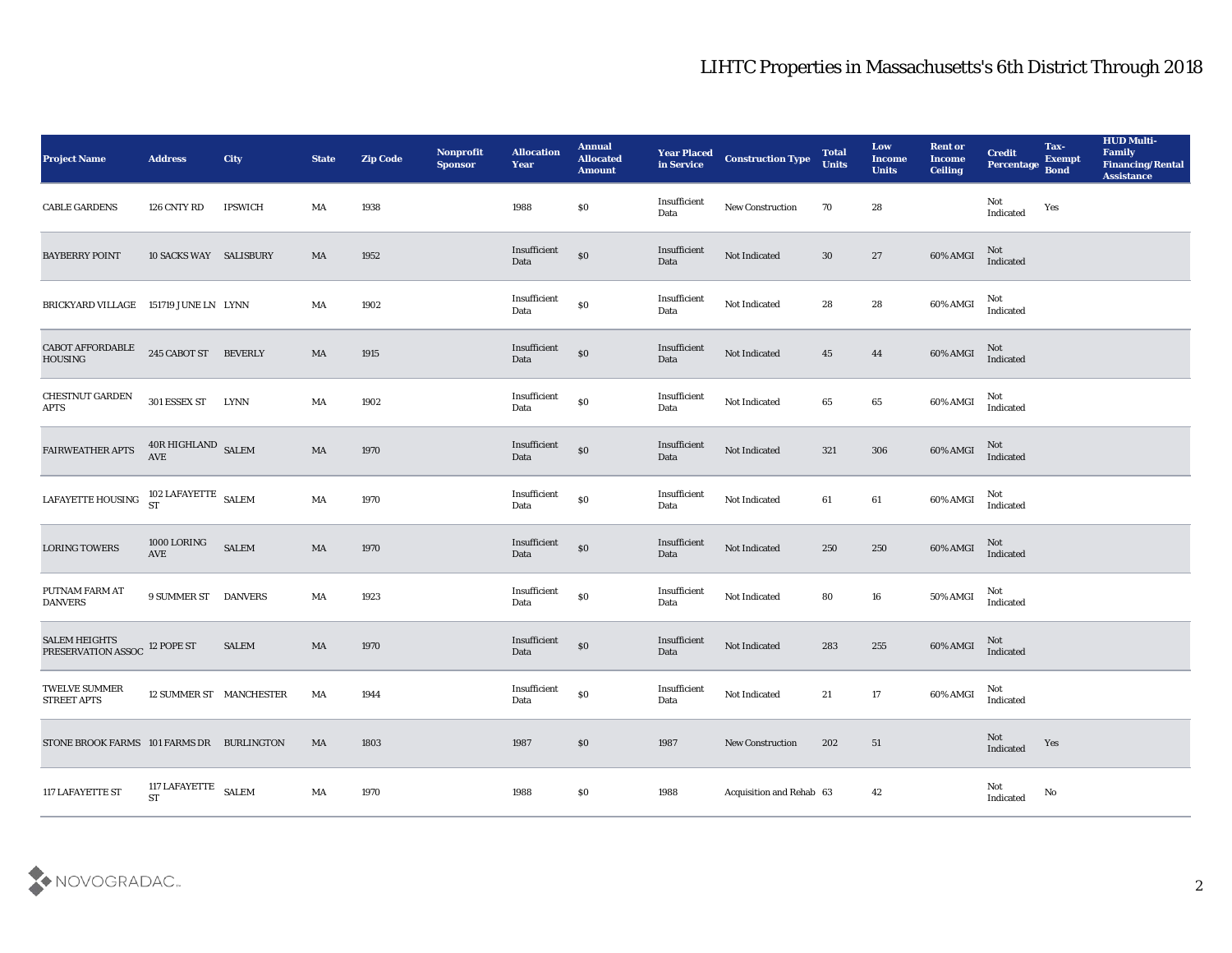| <b>Project Name</b>                        | <b>Address</b>                   | <b>City</b>    | <b>State</b> | <b>Zip Code</b> | Nonprofit<br><b>Sponsor</b> | <b>Allocation</b><br>Year | <b>Annual</b><br><b>Allocated</b><br><b>Amount</b> | <b>Year Placed<br/>in Service</b> | <b>Construction Type</b> | <b>Total</b><br><b>Units</b> | Low<br><b>Income</b><br><b>Units</b> | <b>Rent or</b><br><b>Income</b><br><b>Ceiling</b> | <b>Credit</b><br>Percentage | Tax-<br><b>Exempt</b><br><b>Bond</b> | <b>HUD Multi-</b><br>Family<br><b>Financing/Rental</b><br><b>Assistance</b> |
|--------------------------------------------|----------------------------------|----------------|--------------|-----------------|-----------------------------|---------------------------|----------------------------------------------------|-----------------------------------|--------------------------|------------------------------|--------------------------------------|---------------------------------------------------|-----------------------------|--------------------------------------|-----------------------------------------------------------------------------|
| <b>CABLE GARDENS</b>                       | 126 CNTY RD                      | <b>IPSWICH</b> | MA           | 1938            |                             | 1988                      | \$0                                                | Insufficient<br>Data              | New Construction         | 70                           | 28                                   |                                                   | Not<br>Indicated            | Yes                                  |                                                                             |
| <b>BAYBERRY POINT</b>                      | 10 SACKS WAY SALISBURY           |                | MA           | 1952            |                             | Insufficient<br>Data      | $\$0$                                              | Insufficient<br>Data              | Not Indicated            | $30\,$                       | $27\,$                               | $60\%$ AMGI                                       | Not<br>Indicated            |                                      |                                                                             |
| BRICKYARD VILLAGE                          | 151719 JUNE LN LYNN              |                | MA           | 1902            |                             | Insufficient<br>Data      | $\$0$                                              | Insufficient<br>Data              | Not Indicated            | 28                           | ${\bf 28}$                           | $60\%$ AMGI                                       | Not<br>Indicated            |                                      |                                                                             |
| CABOT AFFORDABLE<br><b>HOUSING</b>         | 245 CABOT ST BEVERLY             |                | MA           | 1915            |                             | Insufficient<br>Data      | $\$0$                                              | Insufficient<br>Data              | Not Indicated            | 45                           | 44                                   | 60% AMGI                                          | Not<br>Indicated            |                                      |                                                                             |
| <b>CHESTNUT GARDEN</b><br><b>APTS</b>      | 301 ESSEX ST                     | LYNN           | MA           | 1902            |                             | Insufficient<br>Data      | $\$0$                                              | Insufficient<br>Data              | Not Indicated            | 65                           | 65                                   | 60% AMGI                                          | Not<br>Indicated            |                                      |                                                                             |
| <b>FAIRWEATHER APTS</b>                    | $40R$ HIGHLAND $\,$ SALEM AVE    |                | MA           | 1970            |                             | Insufficient<br>Data      | $\$0$                                              | Insufficient<br>Data              | Not Indicated            | 321                          | 306                                  | 60% AMGI                                          | Not<br>Indicated            |                                      |                                                                             |
| LAFAYETTE HOUSING                          | 102 LAFAYETTE SALEM              |                | MA           | 1970            |                             | Insufficient<br>Data      | $\$0$                                              | Insufficient<br>Data              | Not Indicated            | 61                           | 61                                   | 60% AMGI                                          | Not<br>Indicated            |                                      |                                                                             |
| <b>LORING TOWERS</b>                       | 1000 LORING<br><b>AVE</b>        | <b>SALEM</b>   | MA           | 1970            |                             | Insufficient<br>Data      | $\$0$                                              | Insufficient<br>Data              | Not Indicated            | 250                          | 250                                  | $60\%$ AMGI                                       | Not<br>Indicated            |                                      |                                                                             |
| PUTNAM FARM AT<br><b>DANVERS</b>           | 9 SUMMER ST DANVERS              |                | MA           | 1923            |                             | Insufficient<br>Data      | $\$0$                                              | Insufficient<br>Data              | Not Indicated            | 80                           | ${\bf 16}$                           | 50% AMGI                                          | Not<br>Indicated            |                                      |                                                                             |
| SALEM HEIGHTS<br>PRESERVATION ASSOC        | 12 POPE ST                       | <b>SALEM</b>   | MA           | 1970            |                             | Insufficient<br>Data      | $\$0$                                              | Insufficient<br>Data              | Not Indicated            | 283                          | $255\,$                              | $60\%$ AMGI                                       | Not<br>Indicated            |                                      |                                                                             |
| <b>TWELVE SUMMER</b><br><b>STREET APTS</b> | 12 SUMMER ST MANCHESTER          |                | MA           | 1944            |                             | Insufficient<br>Data      | $\$0$                                              | Insufficient<br>Data              | Not Indicated            | 21                           | 17                                   | 60% AMGI                                          | Not<br>Indicated            |                                      |                                                                             |
| STONE BROOK FARMS 101 FARMS DR BURLINGTON  |                                  |                | MA           | 1803            |                             | 1987                      | $\$0$                                              | 1987                              | New Construction         | 202                          | 51                                   |                                                   | Not<br>Indicated            | Yes                                  |                                                                             |
| 117 LAFAYETTE ST                           | 117 LAFAYETTE SALEM<br><b>ST</b> |                | MA           | 1970            |                             | 1988                      | $\$0$                                              | 1988                              | Acquisition and Rehab 63 |                              | 42                                   |                                                   | Not<br>Indicated            | No                                   |                                                                             |

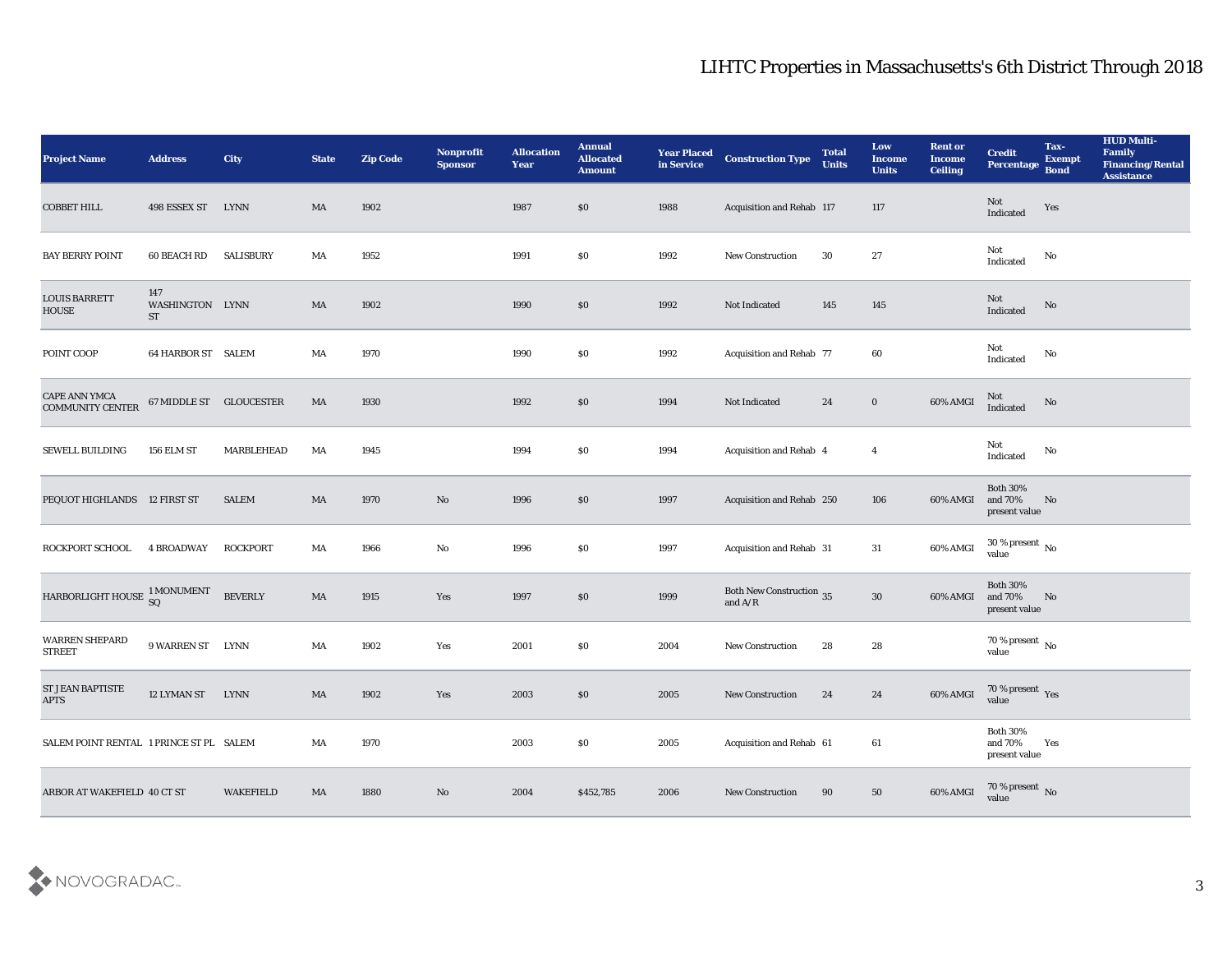| <b>Project Name</b>                               | <b>Address</b>                      | City             | <b>State</b>           | <b>Zip Code</b> | Nonprofit<br><b>Sponsor</b> | <b>Allocation</b><br>Year | <b>Annual</b><br><b>Allocated</b><br><b>Amount</b> | <b>Year Placed</b><br>in Service | <b>Construction Type</b>              | <b>Total</b><br><b>Units</b> | Low<br><b>Income</b><br><b>Units</b> | <b>Rent or</b><br><b>Income</b><br><b>Ceiling</b> | <b>Credit</b><br>Percentage                 | Tax-<br><b>Exempt</b><br><b>Bond</b> | <b>HUD Multi-</b><br>Family<br><b>Financing/Rental</b><br><b>Assistance</b> |
|---------------------------------------------------|-------------------------------------|------------------|------------------------|-----------------|-----------------------------|---------------------------|----------------------------------------------------|----------------------------------|---------------------------------------|------------------------------|--------------------------------------|---------------------------------------------------|---------------------------------------------|--------------------------------------|-----------------------------------------------------------------------------|
| <b>COBBET HILL</b>                                | 498 ESSEX ST                        | <b>LYNN</b>      | MA                     | 1902            |                             | 1987                      | \$0                                                | 1988                             | <b>Acquisition and Rehab 117</b>      |                              | 117                                  |                                                   | Not<br>Indicated                            | Yes                                  |                                                                             |
| <b>BAY BERRY POINT</b>                            | <b>60 BEACH RD</b>                  | <b>SALISBURY</b> | MA                     | 1952            |                             | 1991                      | \$0                                                | 1992                             | <b>New Construction</b>               | 30                           | 27                                   |                                                   | Not<br>Indicated                            | No                                   |                                                                             |
| <b>LOUIS BARRETT</b><br><b>HOUSE</b>              | 147<br>WASHINGTON LYNN<br><b>ST</b> |                  | MA                     | 1902            |                             | 1990                      | $\$0$                                              | 1992                             | Not Indicated                         | 145                          | 145                                  |                                                   | Not<br>Indicated                            | No                                   |                                                                             |
| POINT COOP                                        | <b>64 HARBOR ST SALEM</b>           |                  | MA                     | 1970            |                             | 1990                      | \$0                                                | 1992                             | Acquisition and Rehab 77              |                              | 60                                   |                                                   | Not<br>$\operatorname{Indicated}$           | No                                   |                                                                             |
| <b>CAPE ANN YMCA</b><br><b>COMMUNITY CENTER</b>   | 67 MIDDLE ST GLOUCESTER             |                  | MA                     | 1930            |                             | 1992                      | $\$0$                                              | 1994                             | Not Indicated                         | 24                           | $\bf{0}$                             | 60% AMGI                                          | Not<br>Indicated                            | No                                   |                                                                             |
| <b>SEWELL BUILDING</b>                            | 156 ELM ST                          | MARBLEHEAD       | MA                     | 1945            |                             | 1994                      | \$0                                                | 1994                             | <b>Acquisition and Rehab 4</b>        |                              | $\overline{4}$                       |                                                   | Not<br>Indicated                            | No                                   |                                                                             |
| PEQUOT HIGHLANDS 12 FIRST ST                      |                                     | <b>SALEM</b>     | MA                     | 1970            | No                          | 1996                      | $\$0$                                              | 1997                             | Acquisition and Rehab 250             |                              | 106                                  | 60% AMGI                                          | <b>Both 30%</b><br>and 70%<br>present value | No                                   |                                                                             |
| ROCKPORT SCHOOL                                   | <b>4 BROADWAY</b>                   | <b>ROCKPORT</b>  | MA                     | 1966            | No                          | 1996                      | \$0                                                | 1997                             | Acquisition and Rehab 31              |                              | 31                                   | 60% AMGI                                          | $30$ % present $\,$ No $\,$<br>value        |                                      |                                                                             |
| HARBORLIGHT HOUSE $\frac{1 \text{ MONUMENT}}{SQ}$ |                                     | <b>BEVERLY</b>   | MA                     | 1915            | Yes                         | 1997                      | \$0                                                | 1999                             | Both New Construction 35<br>and $A/R$ |                              | 30                                   | 60% AMGI                                          | Both $30\%$<br>and 70%<br>present value     | No                                   |                                                                             |
| <b>WARREN SHEPARD</b><br><b>STREET</b>            | 9 WARREN ST LYNN                    |                  | MA                     | 1902            | Yes                         | 2001                      | \$0                                                | 2004                             | New Construction                      | 28                           | 28                                   |                                                   | $70\,\%$ present $\,$ No value              |                                      |                                                                             |
| ST JEAN BAPTISTE<br><b>APTS</b>                   | 12 LYMAN ST                         | <b>LYNN</b>      | MA                     | 1902            | Yes                         | 2003                      | \$0                                                | 2005                             | <b>New Construction</b>               | 24                           | 24                                   | 60% AMGI                                          | 70 % present Yes<br>value                   |                                      |                                                                             |
| SALEM POINT RENTAL 1 PRINCE ST PL SALEM           |                                     |                  | MA                     | 1970            |                             | 2003                      | \$0                                                | 2005                             | Acquisition and Rehab 61              |                              | 61                                   |                                                   | Both $30\%$<br>and $70\%$<br>present value  | Yes                                  |                                                                             |
| ARBOR AT WAKEFIELD 40 CT ST                       |                                     | <b>WAKEFIELD</b> | $\mathbf{M}\mathbf{A}$ | 1880            | $\rm\, No$                  | 2004                      | \$452,785                                          | 2006                             | <b>New Construction</b>               | 90                           | 50                                   | 60% AMGI                                          | $70\,\%$ present $\,$ No value              |                                      |                                                                             |

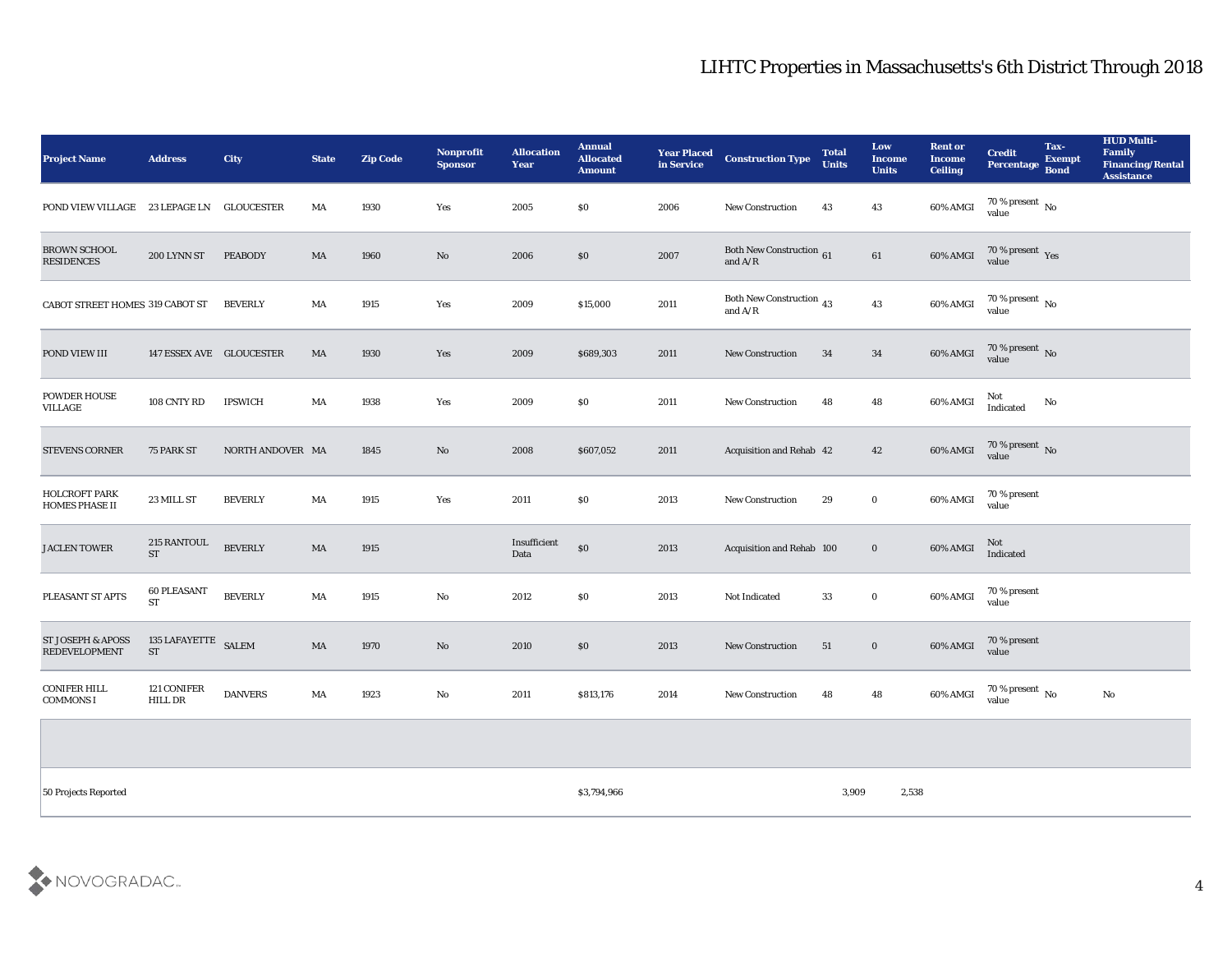| <b>Project Name</b>                                  | <b>Address</b>                   | City             | <b>State</b> | <b>Zip Code</b> | Nonprofit<br><b>Sponsor</b> | <b>Allocation</b><br>Year | <b>Annual</b><br><b>Allocated</b><br><b>Amount</b> | <b>Year Placed</b><br>in Service | <b>Construction Type</b>                                                                 | <b>Total</b><br><b>Units</b> | Low<br><b>Income</b><br><b>Units</b> | <b>Rent or</b><br><b>Income</b><br><b>Ceiling</b> | <b>Credit</b><br>Percentage     | Tax-<br><b>Exempt</b><br><b>Bond</b> | <b>HUD Multi-</b><br>Family<br><b>Financing/Rental</b><br><b>Assistance</b> |
|------------------------------------------------------|----------------------------------|------------------|--------------|-----------------|-----------------------------|---------------------------|----------------------------------------------------|----------------------------------|------------------------------------------------------------------------------------------|------------------------------|--------------------------------------|---------------------------------------------------|---------------------------------|--------------------------------------|-----------------------------------------------------------------------------|
| POND VIEW VILLAGE 23 LEPAGE LN GLOUCESTER            |                                  |                  | MA           | 1930            | Yes                         | 2005                      | \$0                                                | 2006                             | <b>New Construction</b>                                                                  | 43                           | 43                                   | 60% AMGI                                          | $70\,\%$ present $\,$ No value  |                                      |                                                                             |
| <b>BROWN SCHOOL</b><br><b>RESIDENCES</b>             | 200 LYNN ST                      | <b>PEABODY</b>   | MA           | 1960            | No                          | 2006                      | $\$0$                                              | 2007                             | <b>Both New Construction</b> 61<br>and $\ensuremath{\mathrm{A}}/\ensuremath{\mathrm{R}}$ |                              | 61                                   | 60% AMGI                                          | $70\,\%$ present $\,$ Yes value |                                      |                                                                             |
| CABOT STREET HOMES 319 CABOT ST                      |                                  | <b>BEVERLY</b>   | MA           | 1915            | Yes                         | 2009                      | \$15,000                                           | 2011                             | Both New Construction 43<br>and $A/R$                                                    |                              | 43                                   | 60% AMGI                                          | $70\,\%$ present $\,$ No value  |                                      |                                                                             |
| POND VIEW III                                        | 147 ESSEX AVE GLOUCESTER         |                  | MA           | 1930            | Yes                         | 2009                      | \$689,303                                          | 2011                             | <b>New Construction</b>                                                                  | 34                           | 34                                   | 60% AMGI                                          | $70\,\%$ present $\,$ No value  |                                      |                                                                             |
| POWDER HOUSE<br>VILLAGE                              | 108 CNTY RD                      | <b>IPSWICH</b>   | MA           | 1938            | Yes                         | 2009                      | $\$0$                                              | 2011                             | <b>New Construction</b>                                                                  | 48                           | 48                                   | 60% AMGI                                          | Not<br>Indicated                | No                                   |                                                                             |
| <b>STEVENS CORNER</b>                                | 75 PARK ST                       | NORTH ANDOVER MA |              | 1845            | No                          | 2008                      | \$607,052                                          | 2011                             | Acquisition and Rehab 42                                                                 |                              | 42                                   | 60% AMGI                                          | $70\,\%$ present $\,$ No value  |                                      |                                                                             |
| <b>HOLCROFT PARK</b><br><b>HOMES PHASE II</b>        | 23 MILL ST                       | <b>BEVERLY</b>   | MA           | 1915            | Yes                         | 2011                      | $\$0$                                              | 2013                             | <b>New Construction</b>                                                                  | 29                           | $\bf{0}$                             | 60% AMGI                                          | 70 % present<br>value           |                                      |                                                                             |
| <b>JACLEN TOWER</b>                                  | 215 RANTOUL<br><b>ST</b>         | <b>BEVERLY</b>   | MA           | 1915            |                             | Insufficient<br>Data      | $\$0$                                              | 2013                             | Acquisition and Rehab 100                                                                |                              | $\mathbf{0}$                         | 60% AMGI                                          | Not<br>Indicated                |                                      |                                                                             |
| PLEASANT ST APTS                                     | <b>60 PLEASANT</b><br><b>ST</b>  | <b>BEVERLY</b>   | MA           | 1915            | $\mathbf{N}\mathbf{o}$      | 2012                      | \$0                                                | 2013                             | Not Indicated                                                                            | 33                           | $\bf{0}$                             | $60\%$ AMGI                                       | 70 % present<br>value           |                                      |                                                                             |
| <b>ST JOSEPH &amp; APOSS</b><br><b>REDEVELOPMENT</b> | 135 LAFAYETTE SALEM<br><b>ST</b> |                  | MA           | 1970            | No                          | 2010                      | \$0                                                | 2013                             | <b>New Construction</b>                                                                  | 51                           | $\bf{0}$                             | 60% AMGI                                          | 70 % present<br>value           |                                      |                                                                             |
| <b>CONIFER HILL</b><br><b>COMMONS I</b>              | 121 CONIFER<br>HILL DR           | <b>DANVERS</b>   | MA           | 1923            | No                          | 2011                      | \$813,176                                          | 2014                             | <b>New Construction</b>                                                                  | 48                           | 48                                   | 60% AMGI                                          | $70\,\%$ present $\,$ No value  |                                      | No                                                                          |
|                                                      |                                  |                  |              |                 |                             |                           |                                                    |                                  |                                                                                          |                              |                                      |                                                   |                                 |                                      |                                                                             |

50 Projects Reported \$3,794,966 3,909 2,538